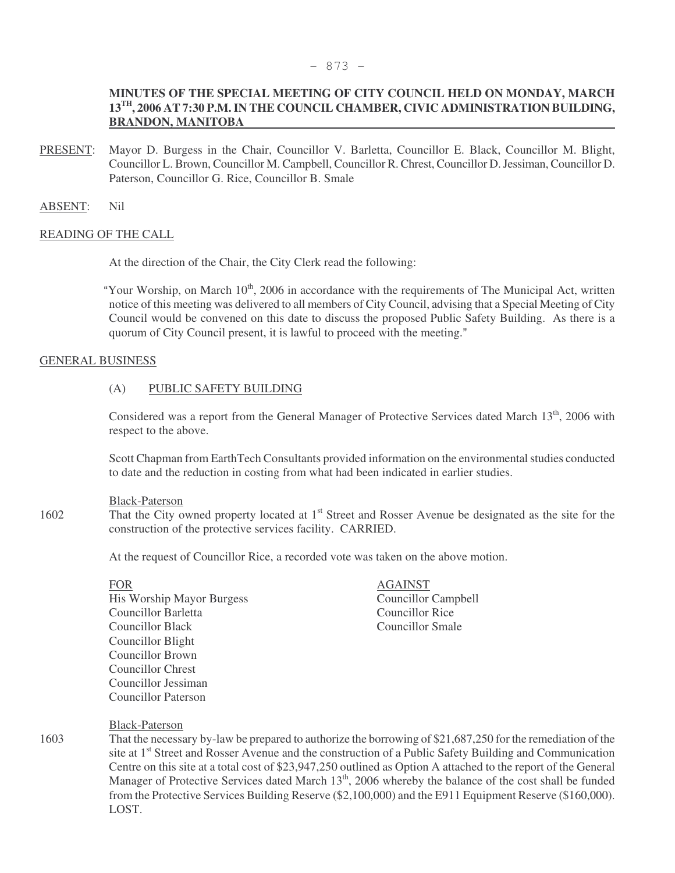### - 873 -

# **MINUTES OF THE SPECIAL MEETING OF CITY COUNCIL HELD ON MONDAY, MARCH 13TH, 2006 AT 7:30 P.M. IN THE COUNCIL CHAMBER, CIVIC ADMINISTRATION BUILDING, BRANDON, MANITOBA**

PRESENT: Mayor D. Burgess in the Chair, Councillor V. Barletta, Councillor E. Black, Councillor M. Blight, Councillor L. Brown, Councillor M. Campbell, Councillor R. Chrest, Councillor D. Jessiman, Councillor D. Paterson, Councillor G. Rice, Councillor B. Smale

ABSENT: Nil

# READING OF THE CALL

At the direction of the Chair, the City Clerk read the following:

"Your Worship, on March  $10<sup>th</sup>$ , 2006 in accordance with the requirements of The Municipal Act, written notice of this meeting was delivered to all members of City Council, advising that a Special Meeting of City Council would be convened on this date to discuss the proposed Public Safety Building. As there is a quorum of City Council present, it is lawful to proceed with the meeting."

### GENERAL BUSINESS

# (A) PUBLIC SAFETY BUILDING

Considered was a report from the General Manager of Protective Services dated March 13<sup>th</sup>, 2006 with respect to the above.

Scott Chapman from EarthTech Consultants provided information on the environmental studies conducted to date and the reduction in costing from what had been indicated in earlier studies.

### Black-Paterson

1602 That the City owned property located at 1<sup>st</sup> Street and Rosser Avenue be designated as the site for the construction of the protective services facility. CARRIED.

At the request of Councillor Rice, a recorded vote was taken on the above motion.

FOR AGAINST His Worship Mayor Burgess Councillor Campbell Councillor Barletta Councillor Rice Councillor Black Councillor Smale Councillor Blight Councillor Brown Councillor Chrest Councillor Jessiman Councillor Paterson

#### Black-Paterson

1603 That the necessary by-law be prepared to authorize the borrowing of \$21,687,250 for the remediation of the site at 1<sup>st</sup> Street and Rosser Avenue and the construction of a Public Safety Building and Communication Centre on this site at a total cost of \$23,947,250 outlined as Option A attached to the report of the General Manager of Protective Services dated March 13<sup>th</sup>, 2006 whereby the balance of the cost shall be funded from the Protective Services Building Reserve (\$2,100,000) and the E911 Equipment Reserve (\$160,000). LOST.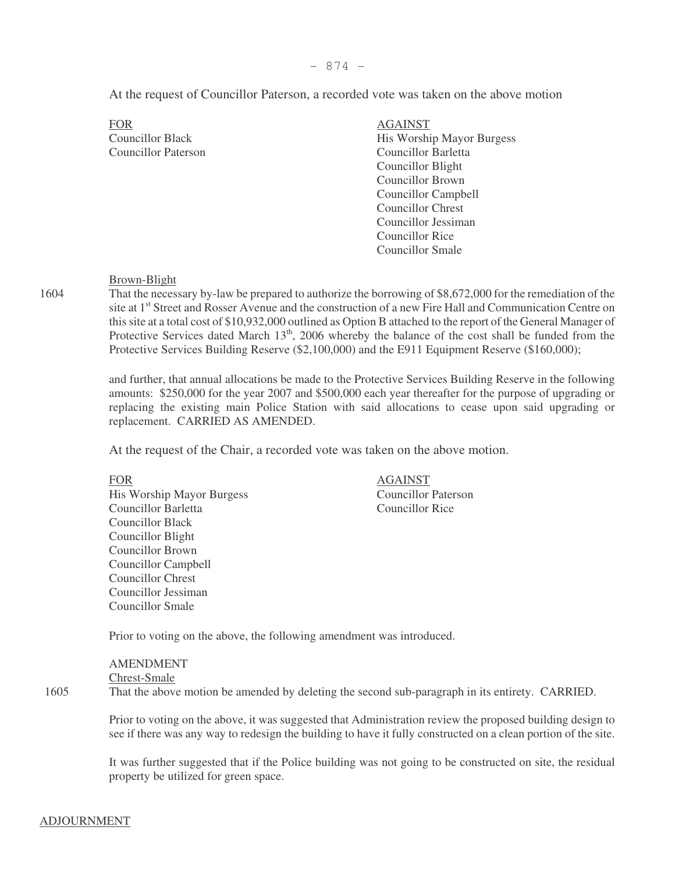At the request of Councillor Paterson, a recorded vote was taken on the above motion

FOR AGAINST Councillor Paterson Councillor Barletta

Councillor Black His Worship Mayor Burgess Councillor Blight Councillor Brown Councillor Campbell Councillor Chrest Councillor Jessiman Councillor Rice Councillor Smale

# Brown-Blight

1604 That the necessary by-law be prepared to authorize the borrowing of \$8,672,000 for the remediation of the site at 1<sup>st</sup> Street and Rosser Avenue and the construction of a new Fire Hall and Communication Centre on this site at a total cost of \$10,932,000 outlined as Option B attached to the report of the General Manager of Protective Services dated March  $13<sup>th</sup>$ , 2006 whereby the balance of the cost shall be funded from the Protective Services Building Reserve (\$2,100,000) and the E911 Equipment Reserve (\$160,000);

> and further, that annual allocations be made to the Protective Services Building Reserve in the following amounts: \$250,000 for the year 2007 and \$500,000 each year thereafter for the purpose of upgrading or replacing the existing main Police Station with said allocations to cease upon said upgrading or replacement. CARRIED AS AMENDED.

At the request of the Chair, a recorded vote was taken on the above motion.

His Worship Mayor Burgess Councillor Paterson Councillor Barletta Councillor Rice Councillor Black Councillor Blight Councillor Brown Councillor Campbell Councillor Chrest Councillor Jessiman Councillor Smale

FOR AGAINST

Prior to voting on the above, the following amendment was introduced.

AMENDMENT Chrest-Smale 1605 That the above motion be amended by deleting the second sub-paragraph in its entirety. CARRIED.

> Prior to voting on the above, it was suggested that Administration review the proposed building design to see if there was any way to redesign the building to have it fully constructed on a clean portion of the site.

> It was further suggested that if the Police building was not going to be constructed on site, the residual property be utilized for green space.